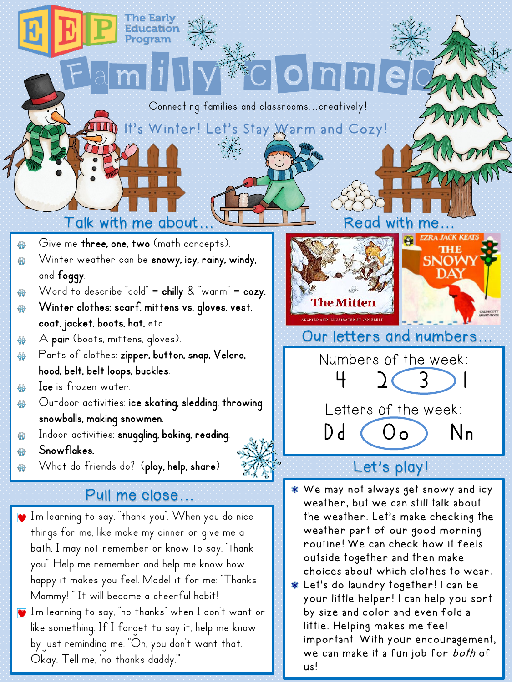### Connecting families and classrooms...creatively!

It's Winter! Let's Stay Warm and Cozy!

Family Connect

## Talk with me about... Talk with Read with

- Give me three, one, two (math concepts).
- Winter weather can be snowy, icy, rainy, windy, 44 and foggy.
- Word to describe "cold" =  $\text{chilly } 8$  "warm" =  $\text{cozy}.$ 승습
- Winter clothes: scarf, mittens vs. gloves, vest, 4 coat, jacket, boots, hat, etc.
- A pair (boots, mittens, gloves). ₩
- Parts of clothes: zipper, button, snap, Velcro, 44 hood, belt, belt loops, buckles.
- Ice is frozen water. 44
- Outdoor activities: ice skating, sledding, throwing ₩ snowballs, making snowmen.
- Indoor activities: snuggling, baking, reading. 44
- Snowflakes.
- What do friends do? (play, help, share)

## Pull me close…

- $\blacksquare$  I'm learning to say, "thank you". When you do nice things for me, like make my dinner or give me a bath, I may not remember or know to say, "thank you". Help me remember and help me know how happy it makes you feel. Model it for me: "Thanks Mommy!" It will become a cheerful habit!
- $\bar{J}$  I'm learning to say, "no thanks" when I don't want or like something. If I forget to say it, help me know by just reminding me. "Oh, you don't want that. Okay. Tell me, 'no thanks daddy.'"



## Our letters and numbers…

Numbers of the week:

 $4231$ 



## Let's play!

- We may not always get snowy and icy weather, but we can still talk about the weather. Let's make checking the weather part of our good morning routine! We can check how it feels outside together and then make choices about which clothes to wear.
- Let's do laundry together! I can be your little helper! I can help you sort by size and color and even fold a little. Helping makes me feel important. With your encouragement, we can make it a fun job for both of us!